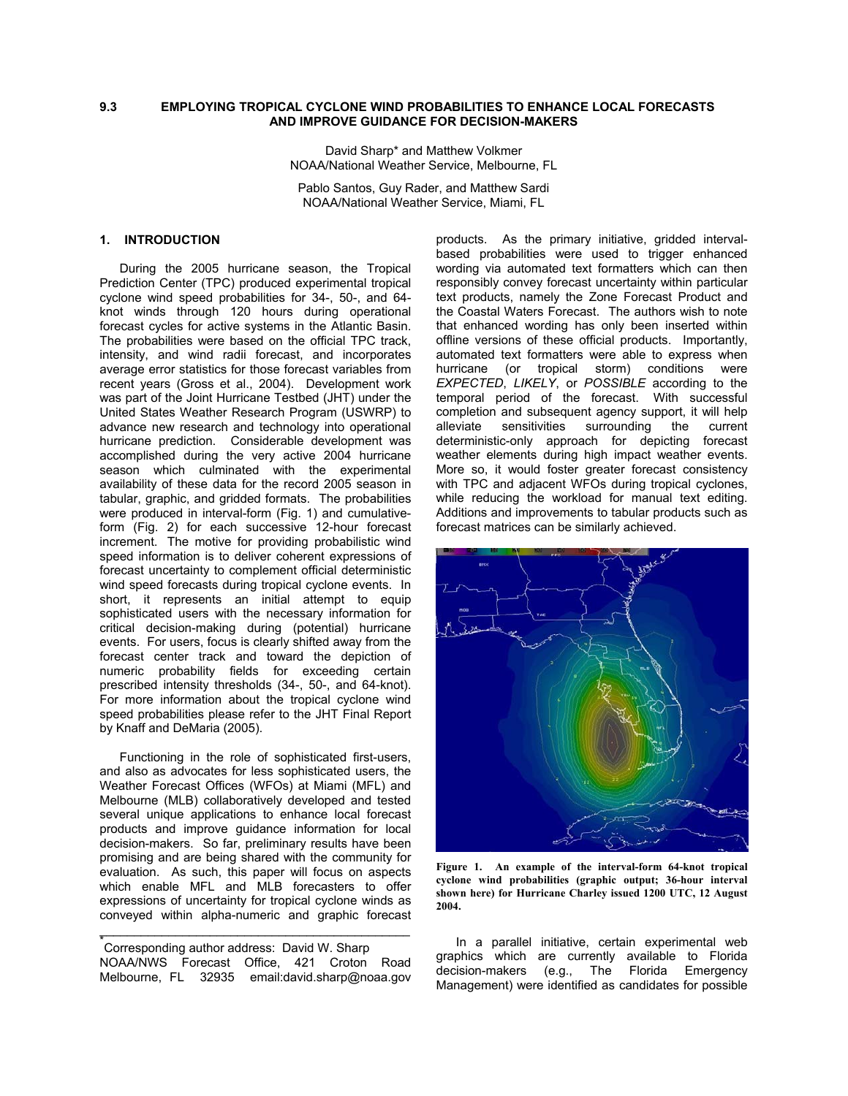## **9.3 EMPLOYING TROPICAL CYCLONE WIND PROBABILITIES TO ENHANCE LOCAL FORECASTS AND IMPROVE GUIDANCE FOR DECISION-MAKERS**

David Sharp\* and Matthew Volkmer NOAA/National Weather Service, Melbourne, FL

Pablo Santos, Guy Rader, and Matthew Sardi NOAA/National Weather Service, Miami, FL

# **1. INTRODUCTION**

During the 2005 hurricane season, the Tropical Prediction Center (TPC) produced experimental tropical cyclone wind speed probabilities for 34-, 50-, and 64 knot winds through 120 hours during operational forecast cycles for active systems in the Atlantic Basin. The probabilities were based on the official TPC track, intensity, and wind radii forecast, and incorporates average error statistics for those forecast variables from recent years (Gross et al., 2004). Development work was part of the Joint Hurricane Testbed (JHT) under the United States Weather Research Program (USWRP) to advance new research and technology into operational hurricane prediction.Considerable development was accomplished during the very active 2004 hurricane season which culminated with the experimental availability of these data for the record 2005 season in tabular, graphic, and gridded formats. The probabilities were produced in interval-form (Fig. 1) and cumulativeform (Fig. 2) for each successive 12-hour forecast increment. The motive for providing probabilistic wind speed information is to deliver coherent expressions of forecast uncertainty to complement official deterministic wind speed forecasts during tropical cyclone events. In short, it represents an initial attempt to equip sophisticated users with the necessary information for critical decision-making during (potential) hurricane events. For users, focus is clearly shifted away from the forecast center track and toward the depiction of numeric probability fields for exceeding certain prescribed intensity thresholds (34-, 50-, and 64-knot). For more information about the tropical cyclone wind speed probabilities please refer to the JHT Final Report by Knaff and DeMaria (2005).

Functioning in the role of sophisticated first-users, and also as advocates for less sophisticated users, the Weather Forecast Offices (WFOs) at Miami (MFL) and Melbourne (MLB) collaboratively developed and tested several unique applications to enhance local forecast products and improve guidance information for local decision-makers. So far, preliminary results have been promising and are being shared with the community for evaluation. As such, this paper will focus on aspects which enable MFL and MLB forecasters to offer expressions of uncertainty for tropical cyclone winds as conveyed within alpha-numeric and graphic forecast

\_\_\_\_\_\_\_\_\_\_\_\_\_\_\_\_\_\_\_\_\_\_\_\_\_\_\_\_\_\_\_\_\_\_\_\_\_\_\_\_\_\_\_\_\_

products. As the primary initiative, gridded intervalbased probabilities were used to trigger enhanced wording via automated text formatters which can then responsibly convey forecast uncertainty within particular text products, namely the Zone Forecast Product and the Coastal Waters Forecast. The authors wish to note that enhanced wording has only been inserted within offline versions of these official products. Importantly, automated text formatters were able to express when hurricane (or tropical storm) conditions were *EXPECTED*, *LIKELY*, or *POSSIBLE* according to the temporal period of the forecast. With successful completion and subsequent agency support, it will help alleviate sensitivities surrounding the current deterministic-only approach for depicting forecast weather elements during high impact weather events. More so, it would foster greater forecast consistency with TPC and adjacent WFOs during tropical cyclones, while reducing the workload for manual text editing. Additions and improvements to tabular products such as forecast matrices can be similarly achieved.



**Figure 1. An example of the interval-form 64-knot tropical cyclone wind probabilities (graphic output; 36-hour interval shown here) for Hurricane Charley issued 1200 UTC, 12 August 2004.** 

In a parallel initiative, certain experimental web graphics which are currently available to Florida decision-makers (e.g., The Florida Emergency Management) were identified as candidates for possible

<sup>\*&</sup>lt;br>Corresponding author address: David W. Sharp NOAA/NWS Forecast Office, 421 Croton Road Melbourne, FL 32935 email:david.sharp@noaa.gov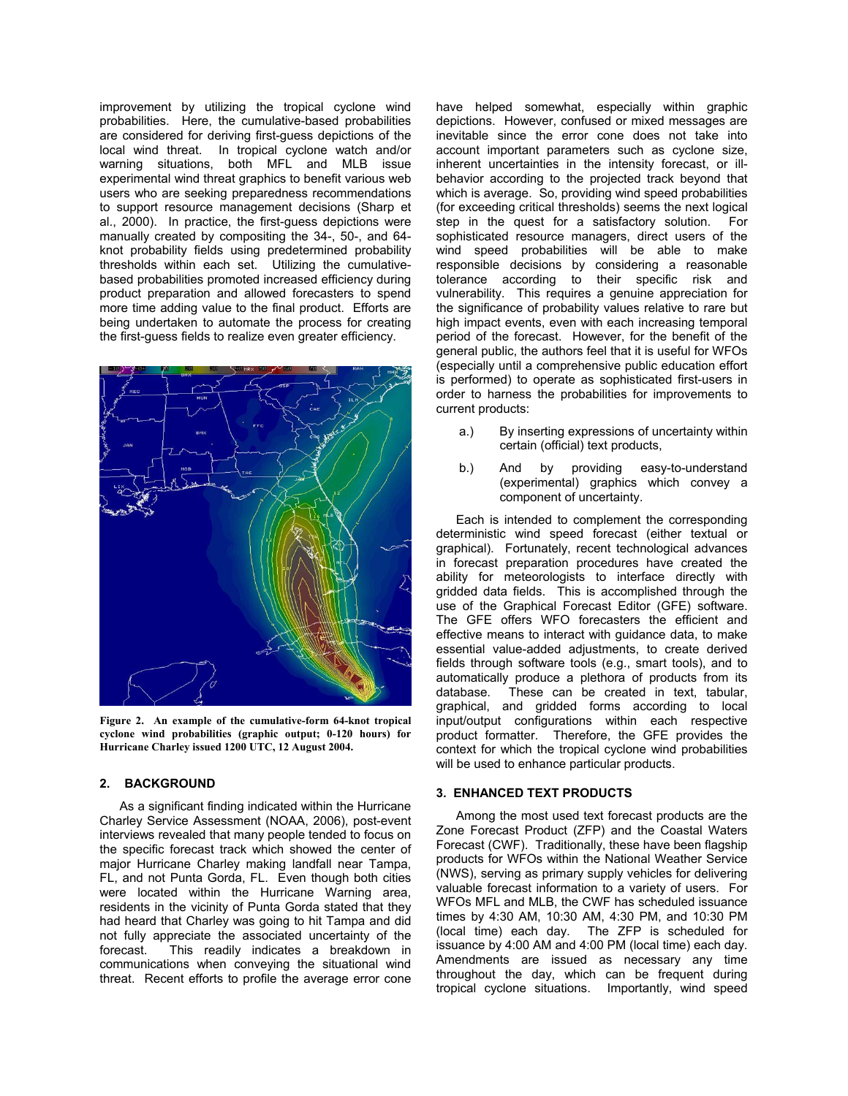improvement by utilizing the tropical cyclone wind probabilities. Here, the cumulative-based probabilities are considered for deriving first-guess depictions of the local wind threat. In tropical cyclone watch and/or warning situations, both MFL and MLB issue experimental wind threat graphics to benefit various web users who are seeking preparedness recommendations to support resource management decisions (Sharp et al., 2000). In practice, the first-guess depictions were manually created by compositing the 34-, 50-, and 64 knot probability fields using predetermined probability thresholds within each set. Utilizing the cumulativebased probabilities promoted increased efficiency during product preparation and allowed forecasters to spend more time adding value to the final product. Efforts are being undertaken to automate the process for creating the first-guess fields to realize even greater efficiency.



**Figure 2. An example of the cumulative-form 64-knot tropical cyclone wind probabilities (graphic output; 0-120 hours) for Hurricane Charley issued 1200 UTC, 12 August 2004.** 

# **2. BACKGROUND**

As a significant finding indicated within the Hurricane Charley Service Assessment (NOAA, 2006), post-event interviews revealed that many people tended to focus on the specific forecast track which showed the center of major Hurricane Charley making landfall near Tampa, FL, and not Punta Gorda, FL. Even though both cities were located within the Hurricane Warning area, residents in the vicinity of Punta Gorda stated that they had heard that Charley was going to hit Tampa and did not fully appreciate the associated uncertainty of the forecast. This readily indicates a breakdown in communications when conveying the situational wind threat. Recent efforts to profile the average error cone have helped somewhat, especially within graphic depictions. However, confused or mixed messages are inevitable since the error cone does not take into account important parameters such as cyclone size, inherent uncertainties in the intensity forecast, or illbehavior according to the projected track beyond that which is average. So, providing wind speed probabilities (for exceeding critical thresholds) seems the next logical step in the quest for a satisfactory solution. For sophisticated resource managers, direct users of the wind speed probabilities will be able to make responsible decisions by considering a reasonable tolerance according to their specific risk and vulnerability. This requires a genuine appreciation for the significance of probability values relative to rare but high impact events, even with each increasing temporal period of the forecast. However, for the benefit of the general public, the authors feel that it is useful for WFOs (especially until a comprehensive public education effort is performed) to operate as sophisticated first-users in order to harness the probabilities for improvements to current products:

- a.) By inserting expressions of uncertainty within certain (official) text products,
- b.) And by providing easy-to-understand (experimental) graphics which convey a component of uncertainty.

Each is intended to complement the corresponding deterministic wind speed forecast (either textual or graphical). Fortunately, recent technological advances in forecast preparation procedures have created the ability for meteorologists to interface directly with gridded data fields. This is accomplished through the use of the Graphical Forecast Editor (GFE) software. The GFE offers WFO forecasters the efficient and effective means to interact with guidance data, to make essential value-added adjustments, to create derived fields through software tools (e.g., smart tools), and to automatically produce a plethora of products from its database. These can be created in text, tabular, graphical, and gridded forms according to local input/output configurations within each respective product formatter. Therefore, the GFE provides the context for which the tropical cyclone wind probabilities will be used to enhance particular products.

### **3. ENHANCED TEXT PRODUCTS**

Among the most used text forecast products are the Zone Forecast Product (ZFP) and the Coastal Waters Forecast (CWF). Traditionally, these have been flagship products for WFOs within the National Weather Service (NWS), serving as primary supply vehicles for delivering valuable forecast information to a variety of users. For WFOs MFL and MLB, the CWF has scheduled issuance times by 4:30 AM, 10:30 AM, 4:30 PM, and 10:30 PM (local time) each day. The ZFP is scheduled for issuance by 4:00 AM and 4:00 PM (local time) each day. Amendments are issued as necessary any time throughout the day, which can be frequent during tropical cyclone situations. Importantly, wind speed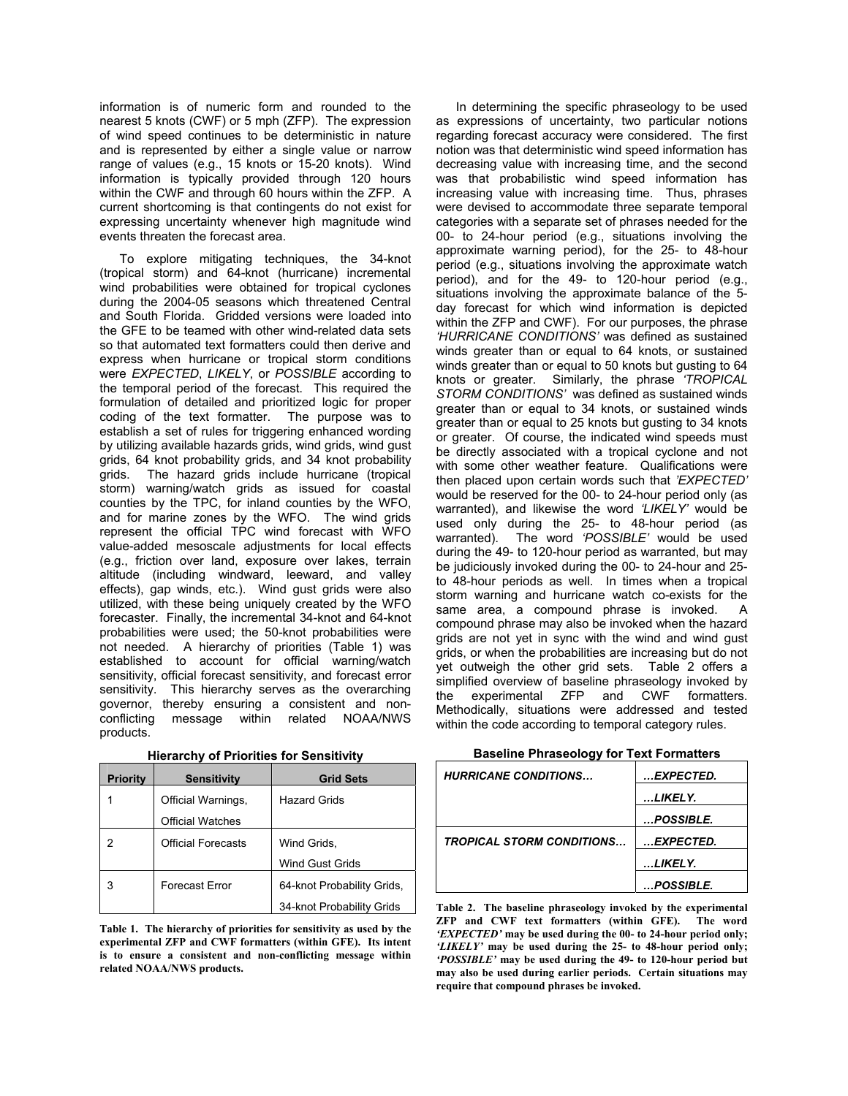information is of numeric form and rounded to the nearest 5 knots (CWF) or 5 mph (ZFP). The expression of wind speed continues to be deterministic in nature and is represented by either a single value or narrow range of values (e.g., 15 knots or 15-20 knots). Wind information is typically provided through 120 hours within the CWF and through 60 hours within the ZFP. A current shortcoming is that contingents do not exist for expressing uncertainty whenever high magnitude wind events threaten the forecast area.

 To explore mitigating techniques, the 34-knot (tropical storm) and 64-knot (hurricane) incremental wind probabilities were obtained for tropical cyclones during the 2004-05 seasons which threatened Central and South Florida. Gridded versions were loaded into the GFE to be teamed with other wind-related data sets so that automated text formatters could then derive and express when hurricane or tropical storm conditions were *EXPECTED*, *LIKELY*, or *POSSIBLE* according to the temporal period of the forecast. This required the formulation of detailed and prioritized logic for proper coding of the text formatter. The purpose was to establish a set of rules for triggering enhanced wording by utilizing available hazards grids, wind grids, wind gust grids, 64 knot probability grids, and 34 knot probability grids. The hazard grids include hurricane (tropical storm) warning/watch grids as issued for coastal counties by the TPC, for inland counties by the WFO, and for marine zones by the WFO. The wind grids represent the official TPC wind forecast with WFO value-added mesoscale adjustments for local effects (e.g., friction over land, exposure over lakes, terrain altitude (including windward, leeward, and valley effects), gap winds, etc.). Wind gust grids were also utilized, with these being uniquely created by the WFO forecaster. Finally, the incremental 34-knot and 64-knot probabilities were used; the 50-knot probabilities were not needed. A hierarchy of priorities (Table 1) was established to account for official warning/watch sensitivity, official forecast sensitivity, and forecast error sensitivity. This hierarchy serves as the overarching governor, thereby ensuring a consistent and nonconflicting message within related NOAA/NWS products.

| <b>Priority</b> | <b>Sensitivity</b>        | <b>Grid Sets</b>           |
|-----------------|---------------------------|----------------------------|
|                 | Official Warnings,        | <b>Hazard Grids</b>        |
|                 | <b>Official Watches</b>   |                            |
|                 | <b>Official Forecasts</b> | Wind Grids,                |
|                 |                           | <b>Wind Gust Grids</b>     |
| 3               | Forecast Error            | 64-knot Probability Grids, |
|                 |                           | 34-knot Probability Grids  |

**Hierarchy of Priorities for Sensitivity**

**Table 1. The hierarchy of priorities for sensitivity as used by the experimental ZFP and CWF formatters (within GFE). Its intent is to ensure a consistent and non-conflicting message within related NOAA/NWS products.** 

In determining the specific phraseology to be used as expressions of uncertainty, two particular notions regarding forecast accuracy were considered. The first notion was that deterministic wind speed information has decreasing value with increasing time, and the second was that probabilistic wind speed information has increasing value with increasing time. Thus, phrases were devised to accommodate three separate temporal categories with a separate set of phrases needed for the 00- to 24-hour period (e.g., situations involving the approximate warning period), for the 25- to 48-hour period (e.g., situations involving the approximate watch period), and for the 49- to 120-hour period (e.g., situations involving the approximate balance of the 5 day forecast for which wind information is depicted within the ZFP and CWF). For our purposes, the phrase *'HURRICANE CONDITIONS'* was defined as sustained winds greater than or equal to 64 knots, or sustained winds greater than or equal to 50 knots but gusting to 64 knots or greater. Similarly, the phrase *'TROPICAL STORM CONDITIONS'* was defined as sustained winds greater than or equal to 34 knots, or sustained winds greater than or equal to 25 knots but gusting to 34 knots or greater. Of course, the indicated wind speeds must be directly associated with a tropical cyclone and not with some other weather feature. Qualifications were then placed upon certain words such that *'EXPECTED'* would be reserved for the 00- to 24-hour period only (as warranted), and likewise the word *'LIKELY'* would be used only during the 25- to 48-hour period (as warranted). The word *'POSSIBLE'* would be used during the 49- to 120-hour period as warranted, but may be judiciously invoked during the 00- to 24-hour and 25 to 48-hour periods as well. In times when a tropical storm warning and hurricane watch co-exists for the same area, a compound phrase is invoked. A compound phrase may also be invoked when the hazard grids are not yet in sync with the wind and wind gust grids, or when the probabilities are increasing but do not yet outweigh the other grid sets. Table 2 offers a simplified overview of baseline phraseology invoked by the experimental ZFP and CWF formatters. Methodically, situations were addressed and tested within the code according to temporal category rules.

| <b>HURRICANE CONDITIONS</b>      | EXPECTED.  |
|----------------------------------|------------|
|                                  | LIKELY.    |
|                                  | POSSIBLE.  |
| <b>TROPICAL STORM CONDITIONS</b> | …EXPECTED. |
|                                  | LIKELY.    |
|                                  | POSSIBLE.  |

**Baseline Phraseology for Text Formatters** 

**Table 2. The baseline phraseology invoked by the experimental ZFP and CWF text formatters (within GFE). The word**  *'EXPECTED'* **may be used during the 00- to 24-hour period only;**  *'LIKELY'* **may be used during the 25- to 48-hour period only;**  *'POSSIBLE'* **may be used during the 49- to 120-hour period but may also be used during earlier periods. Certain situations may require that compound phrases be invoked.**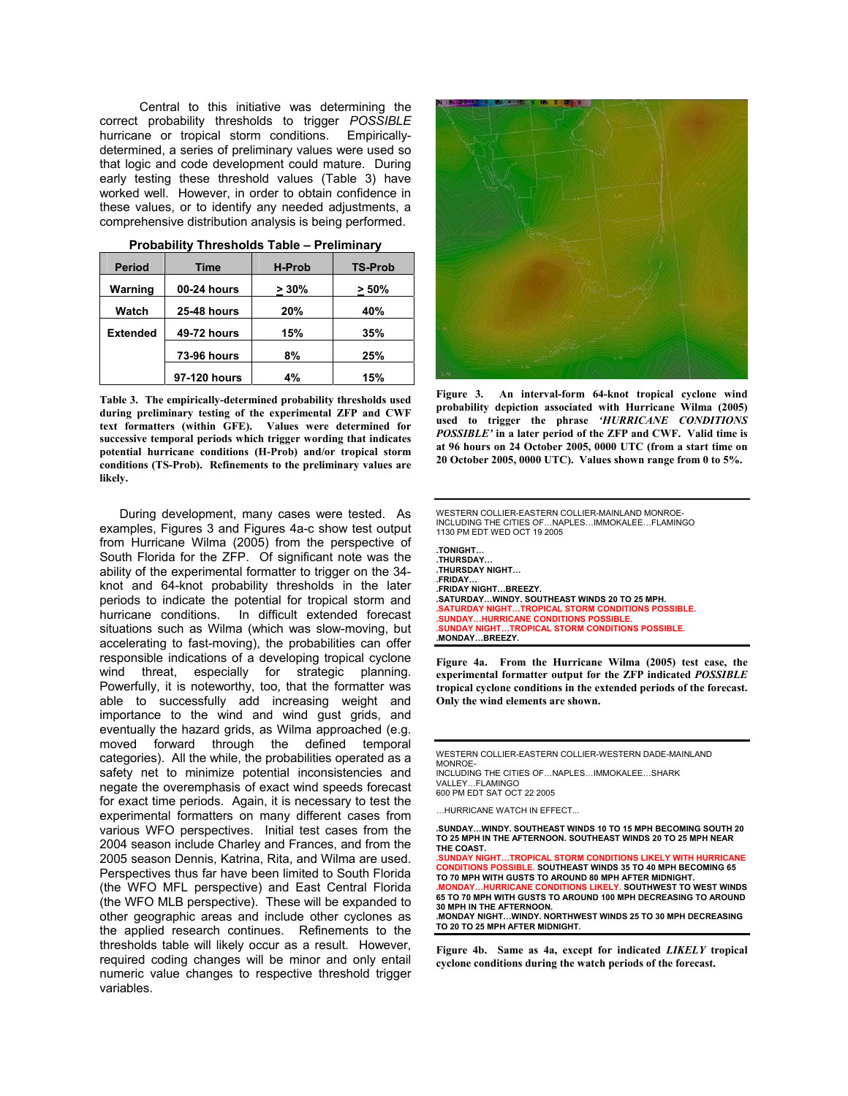Central to this initiative was determining the correct probability thresholds to trigger *POSSIBLE* hurricane or tropical storm conditions. Empiricallydetermined, a series of preliminary values were used so that logic and code development could mature. During early testing these threshold values (Table 3) have worked well. However, in order to obtain confidence in these values, or to identify any needed adjustments, a comprehensive distribution analysis is being performed.

| <b>Period</b>   | Time               | <b>H-Prob</b> | <b>TS-Prob</b> |
|-----------------|--------------------|---------------|----------------|
| Warning         | 00-24 hours        | $>30\%$       | $> 50\%$       |
| Watch           | <b>25-48 hours</b> | 20%           | 40%            |
| <b>Extended</b> | <b>49-72 hours</b> | 15%           | 35%            |
|                 | <b>73-96 hours</b> | 8%            | 25%            |
|                 |                    |               |                |
|                 | 97-120 hours       | 4%            | 15%            |

**Probability Thresholds Table – Preliminary** 

**Table 3. The empirically-determined probability thresholds used during preliminary testing of the experimental ZFP and CWF text formatters (within GFE). Values were determined for successive temporal periods which trigger wording that indicates potential hurricane conditions (H-Prob) and/or tropical storm conditions (TS-Prob). Refinements to the preliminary values are likely.** 

During development, many cases were tested. As examples, Figures 3 and Figures 4a-c show test output from Hurricane Wilma (2005) from the perspective of South Florida for the ZFP. Of significant note was the ability of the experimental formatter to trigger on the 34 knot and 64-knot probability thresholds in the later periods to indicate the potential for tropical storm and hurricane conditions. In difficult extended forecast situations such as Wilma (which was slow-moving, but accelerating to fast-moving), the probabilities can offer responsible indications of a developing tropical cyclone wind threat, especially for strategic planning. Powerfully, it is noteworthy, too, that the formatter was able to successfully add increasing weight and importance to the wind and wind gust grids, and eventually the hazard grids, as Wilma approached (e.g. moved forward through the defined temporal categories). All the while, the probabilities operated as a safety net to minimize potential inconsistencies and negate the overemphasis of exact wind speeds forecast for exact time periods. Again, it is necessary to test the experimental formatters on many different cases from various WFO perspectives. Initial test cases from the 2004 season include Charley and Frances, and from the 2005 season Dennis, Katrina, Rita, and Wilma are used. Perspectives thus far have been limited to South Florida (the WFO MFL perspective) and East Central Florida (the WFO MLB perspective). These will be expanded to other geographic areas and include other cyclones as the applied research continues. Refinements to the thresholds table will likely occur as a result. However, required coding changes will be minor and only entail numeric value changes to respective threshold trigger variables.



**Figure 3. An interval-form 64-knot tropical cyclone wind probability depiction associated with Hurricane Wilma (2005) used to trigger the phrase** *'HURRICANE CONDITIONS POSSIBLE'* **in a later period of the ZFP and CWF. Valid time is at 96 hours on 24 October 2005, 0000 UTC (from a start time on 20 October 2005, 0000 UTC). Values shown range from 0 to 5%.** 

WESTERN COLLIER-EASTERN COLLIER-MAINLAND MONROE-INCLUDING THE CITIES OF…NAPLES…IMMOKALEE…FLAMINGO 1130 PM EDT WED OCT 19 2005

**.TONIGHT… .THURSDAY… .THURSDAY NIGHT… .FRIDAY… .FRIDAY NIGHT…BREEZY. .SATURDAY…WINDY. SOUTHEAST WINDS 20 TO 25 MPH. .SATURDAY NIGHT…TROPICAL STORM CONDITIONS POSSIBLE. .SUNDAY…HURRICANE CONDITIONS POSSIBLE. .SUNDAY NIGHT…TROPICAL STORM CONDITIONS POSSIBLE. .MONDAY…BREEZY.** 

**Figure 4a. From the Hurricane Wilma (2005) test case, the experimental formatter output for the ZFP indicated** *POSSIBLE* **tropical cyclone conditions in the extended periods of the forecast. Only the wind elements are shown.** 

WESTERN COLLIER-EASTERN COLLIER-WESTERN DADE-MAINLAND MONROE-INCLUDING THE CITIES OF…NAPLES…IMMOKALEE…SHARK

VALLEY…FLAMINGO 600 PM EDT SAT OCT 22 2005

…HURRICANE WATCH IN EFFECT...

**.SUNDAY…WINDY. SOUTHEAST WINDS 10 TO 15 MPH BECOMING SOUTH 20 TO 25 MPH IN THE AFTERNOON. SOUTHEAST WINDS 20 TO 25 MPH NEAR THE COAST.** 

**.SUNDAY NIGHT…TROPICAL STORM CONDITIONS LIKELY WITH HURRICANE CONDITIONS POSSIBLE. SOUTHEAST WINDS 35 TO 40 MPH BECOMING 65 TO 70 MPH WITH GUSTS TO AROUND 80 MPH AFTER MIDNIGHT. .MONDAY…HURRICANE CONDITIONS LIKELY. SOUTHWEST TO WEST WINDS 65 TO 70 MPH WITH GUSTS TO AROUND 100 MPH DECREASING TO AROUND 30 MPH IN THE AFTERNOON. .MONDAY NIGHT…WINDY. NORTHWEST WINDS 25 TO 30 MPH DECREASING TO 20 TO 25 MPH AFTER MIDNIGHT.** 

**Figure 4b. Same as 4a, except for indicated** *LIKELY* **tropical cyclone conditions during the watch periods of the forecast.**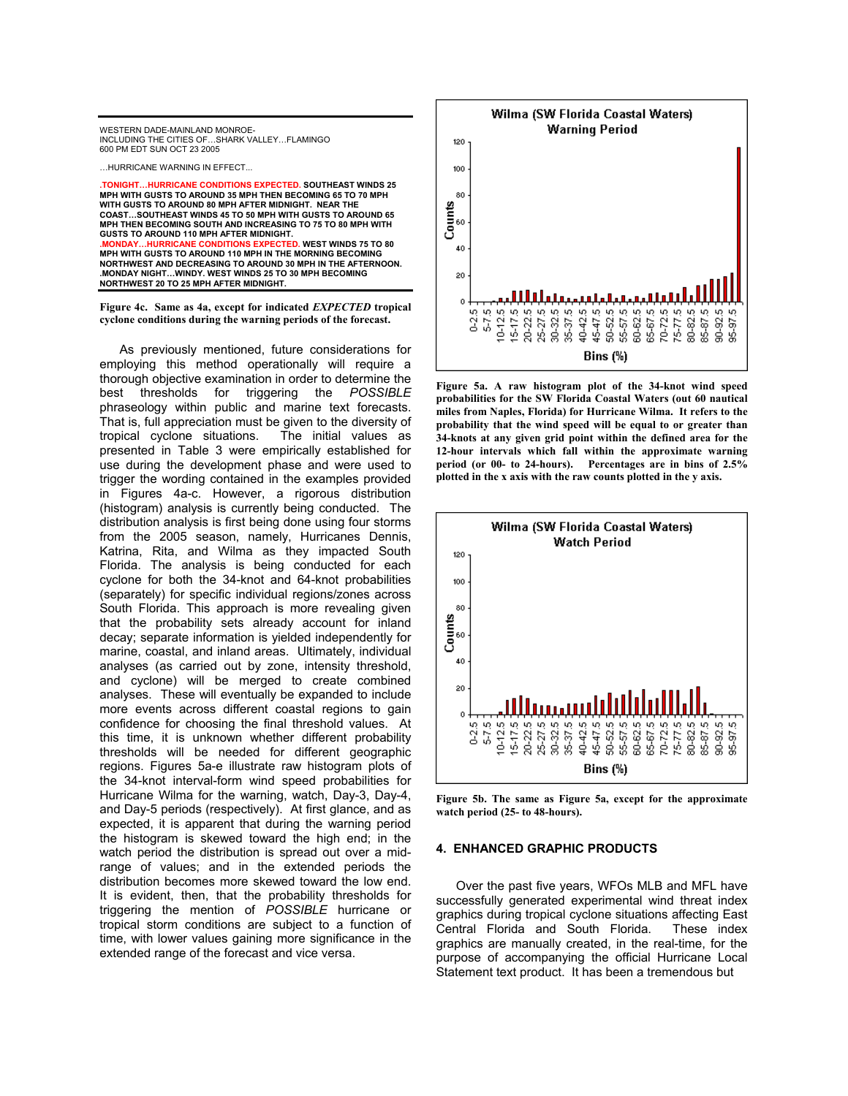

…HURRICANE WARNING IN EFFECT...

**.TONIGHT…HURRICANE CONDITIONS EXPECTED. SOUTHEAST WINDS 25 MPH WITH GUSTS TO AROUND 35 MPH THEN BECOMING 65 TO 70 MPH WITH GUSTS TO AROUND 80 MPH AFTER MIDNIGHT. NEAR THE COAST…SOUTHEAST WINDS 45 TO 50 MPH WITH GUSTS TO AROUND 65 MPH THEN BECOMING SOUTH AND INCREASING TO 75 TO 80 MPH WITH GUSTS TO AROUND 110 MPH AFTER MIDNIGHT. IURRICANE CONDITIONS EXPECTED. WEST WINDS 75 TO 80 MPH WITH GUSTS TO AROUND 110 MPH IN THE MORNING BECOMING NORTHWEST AND DECREASING TO AROUND 30 MPH IN THE AFTERNOON. .MONDAY NIGHT…WINDY. WEST WINDS 25 TO 30 MPH BECOMING NORTHWEST 20 TO 25 MPH AFTER MIDNIGHT.** 

**Figure 4c. Same as 4a, except for indicated** *EXPECTED* **tropical cyclone conditions during the warning periods of the forecast.** 

As previously mentioned, future considerations for employing this method operationally will require a thorough objective examination in order to determine the best thresholds for triggering the *POSSIBLE* phraseology within public and marine text forecasts. That is, full appreciation must be given to the diversity of tropical cyclone situations. The initial values as presented in Table 3 were empirically established for use during the development phase and were used to trigger the wording contained in the examples provided in Figures 4a-c. However, a rigorous distribution (histogram) analysis is currently being conducted. The distribution analysis is first being done using four storms from the 2005 season, namely, Hurricanes Dennis, Katrina, Rita, and Wilma as they impacted South Florida. The analysis is being conducted for each cyclone for both the 34-knot and 64-knot probabilities (separately) for specific individual regions/zones across South Florida. This approach is more revealing given that the probability sets already account for inland decay; separate information is yielded independently for marine, coastal, and inland areas. Ultimately, individual analyses (as carried out by zone, intensity threshold, and cyclone) will be merged to create combined analyses. These will eventually be expanded to include more events across different coastal regions to gain confidence for choosing the final threshold values. At this time, it is unknown whether different probability thresholds will be needed for different geographic regions. Figures 5a-e illustrate raw histogram plots of the 34-knot interval-form wind speed probabilities for Hurricane Wilma for the warning, watch, Day-3, Day-4, and Day-5 periods (respectively). At first glance, and as expected, it is apparent that during the warning period the histogram is skewed toward the high end; in the watch period the distribution is spread out over a midrange of values; and in the extended periods the distribution becomes more skewed toward the low end. It is evident, then, that the probability thresholds for triggering the mention of *POSSIBLE* hurricane or tropical storm conditions are subject to a function of time, with lower values gaining more significance in the extended range of the forecast and vice versa.



**Figure 5a. A raw histogram plot of the 34-knot wind speed probabilities for the SW Florida Coastal Waters (out 60 nautical miles from Naples, Florida) for Hurricane Wilma. It refers to the probability that the wind speed will be equal to or greater than 34-knots at any given grid point within the defined area for the 12-hour intervals which fall within the approximate warning period (or 00- to 24-hours). Percentages are in bins of 2.5% plotted in the x axis with the raw counts plotted in the y axis.** 



**Figure 5b. The same as Figure 5a, except for the approximate watch period (25- to 48-hours).** 

#### **4. ENHANCED GRAPHIC PRODUCTS**

Over the past five years, WFOs MLB and MFL have successfully generated experimental wind threat index graphics during tropical cyclone situations affecting East Central Florida and South Florida. These index graphics are manually created, in the real-time, for the purpose of accompanying the official Hurricane Local Statement text product. It has been a tremendous but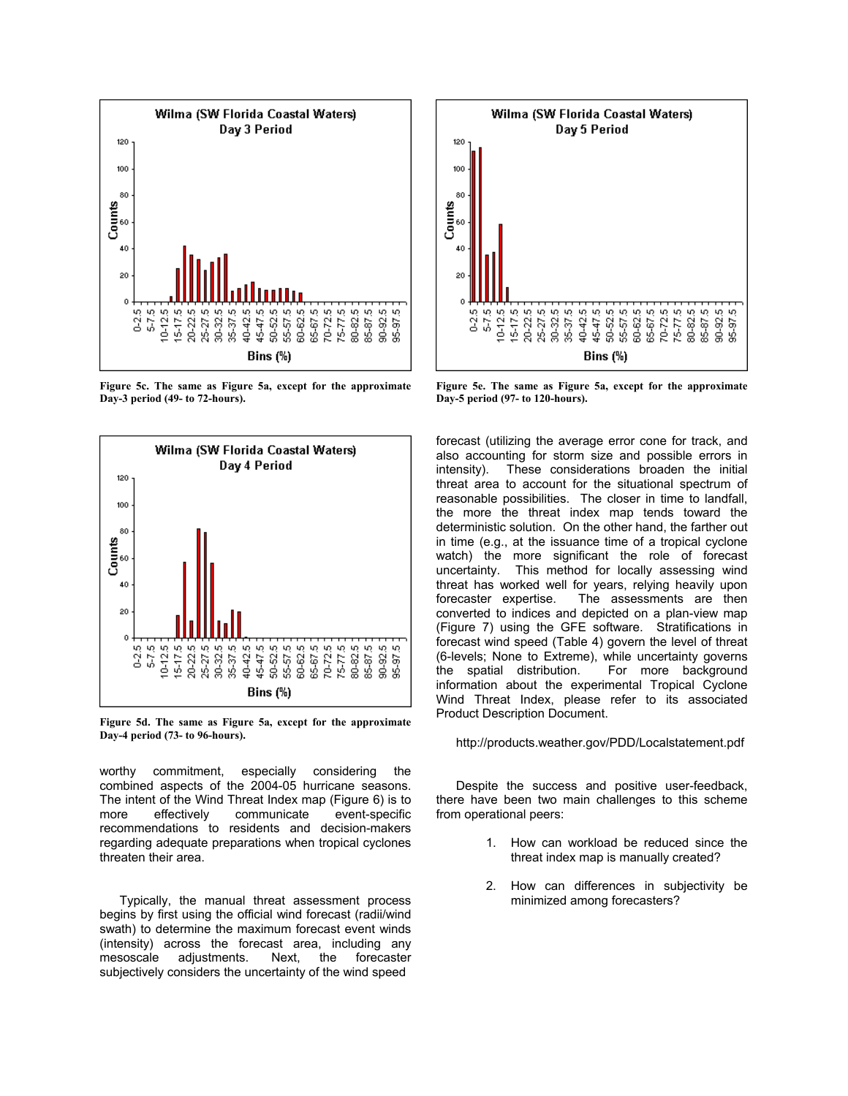

**Figure 5c. The same as Figure 5a, except for the approximate Day-3 period (49- to 72-hours).** 



**Figure 5d. The same as Figure 5a, except for the approximate Day-4 period (73- to 96-hours).** 

worthy commitment, especially considering the combined aspects of the 2004-05 hurricane seasons. The intent of the Wind Threat Index map (Figure 6) is to more effectively communicate event-specific recommendations to residents and decision-makers regarding adequate preparations when tropical cyclones threaten their area.

Typically, the manual threat assessment process begins by first using the official wind forecast (radii/wind swath) to determine the maximum forecast event winds (intensity) across the forecast area, including any mesoscale adjustments. Next, the forecaster subjectively considers the uncertainty of the wind speed



**Figure 5e. The same as Figure 5a, except for the approximate Day-5 period (97- to 120-hours).** 

forecast (utilizing the average error cone for track, and also accounting for storm size and possible errors in intensity). These considerations broaden the initial threat area to account for the situational spectrum of reasonable possibilities. The closer in time to landfall, the more the threat index map tends toward the deterministic solution. On the other hand, the farther out in time (e.g., at the issuance time of a tropical cyclone watch) the more significant the role of forecast uncertainty. This method for locally assessing wind threat has worked well for years, relying heavily upon forecaster expertise. The assessments are then converted to indices and depicted on a plan-view map (Figure 7) using the GFE software. Stratifications in forecast wind speed (Table 4) govern the level of threat (6-levels; None to Extreme), while uncertainty governs the spatial distribution. For more background information about the experimental Tropical Cyclone Wind Threat Index, please refer to its associated Product Description Document.

#### http://products.weather.gov/PDD/Localstatement.pdf

Despite the success and positive user-feedback, there have been two main challenges to this scheme from operational peers:

- 1. How can workload be reduced since the threat index map is manually created?
- 2. How can differences in subjectivity be minimized among forecasters?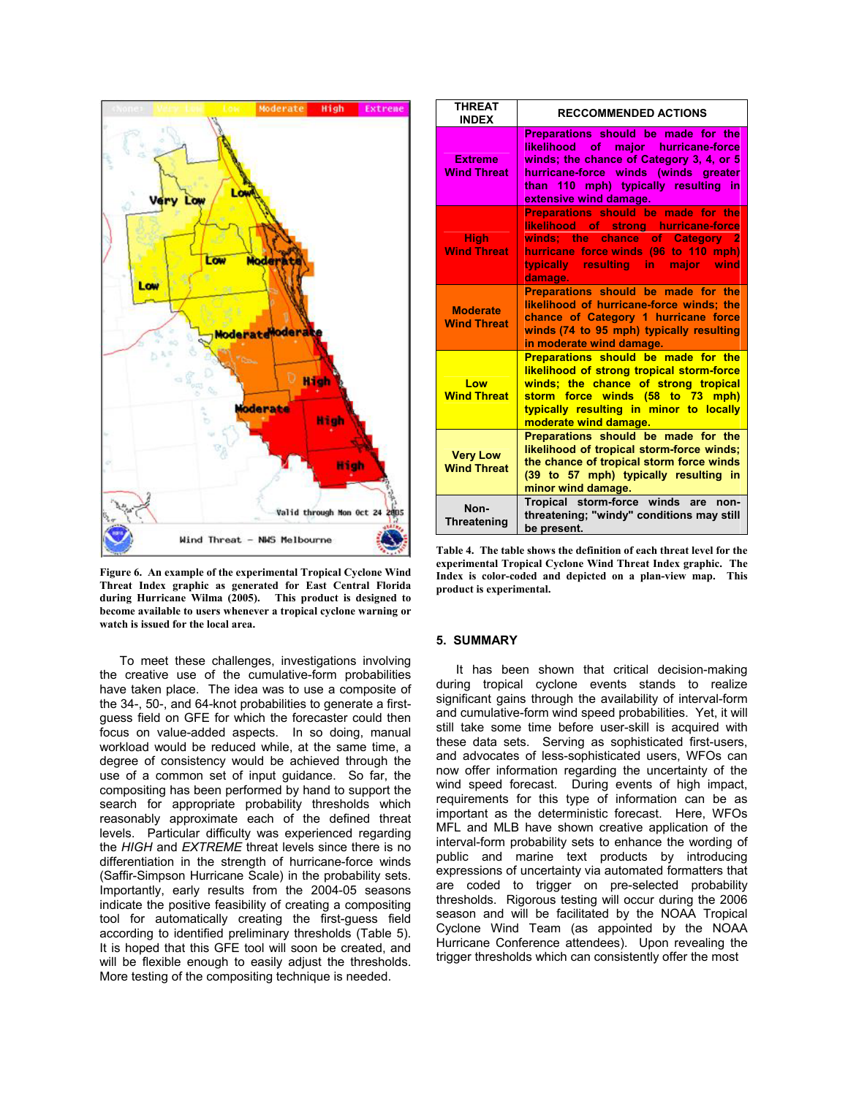

**Figure 6. An example of the experimental Tropical Cyclone Wind Threat Index graphic as generated for East Central Florida during Hurricane Wilma (2005). This product is designed to become available to users whenever a tropical cyclone warning or watch is issued for the local area.** 

To meet these challenges, investigations involving the creative use of the cumulative-form probabilities have taken place. The idea was to use a composite of the 34-, 50-, and 64-knot probabilities to generate a firstguess field on GFE for which the forecaster could then focus on value-added aspects. In so doing, manual workload would be reduced while, at the same time, a degree of consistency would be achieved through the use of a common set of input guidance. So far, the compositing has been performed by hand to support the search for appropriate probability thresholds which reasonably approximate each of the defined threat levels. Particular difficulty was experienced regarding the *HIGH* and *EXTREME* threat levels since there is no differentiation in the strength of hurricane-force winds (Saffir-Simpson Hurricane Scale) in the probability sets. Importantly, early results from the 2004-05 seasons indicate the positive feasibility of creating a compositing tool for automatically creating the first-guess field according to identified preliminary thresholds (Table 5). It is hoped that this GFE tool will soon be created, and will be flexible enough to easily adjust the thresholds. More testing of the compositing technique is needed.

|  | <b>THREAT</b><br><b>INDEX</b>         | <b>RECCOMMENDED ACTIONS</b>                                                                                                                                                                                                             |  |
|--|---------------------------------------|-----------------------------------------------------------------------------------------------------------------------------------------------------------------------------------------------------------------------------------------|--|
|  | <b>Extreme</b><br><b>Wind Threat</b>  | <b>Preparations should be made for the</b><br>likelihood of major hurricane-force<br>winds; the chance of Category 3, 4, or 5<br>hurricane-force winds (winds greater<br>than 110 mph) typically resulting in<br>extensive wind damage. |  |
|  | High:<br><b>Wind Threat</b>           | Preparations should be made for the<br>likelihood of strong hurricane-force<br>winds; the chance of Category 2<br>hurricane force winds (96 to 110 mph)<br>typically resulting in major wind<br>damage.                                 |  |
|  | <b>Moderate</b><br><b>Wind Threat</b> | Preparations should be made for the<br>likelihood of hurricane-force winds; the<br>chance of Category 1 hurricane force<br>winds (74 to 95 mph) typically resulting<br>in moderate wind damage.                                         |  |
|  | Low<br><b>Wind Threat</b>             | <b>Preparations should be made for the</b><br>likelihood of strong tropical storm-force<br>winds; the chance of strong tropical<br>storm force winds (58 to 73 mph)<br>typically resulting in minor to locally<br>moderate wind damage. |  |
|  | <b>Very Low</b><br><b>Wind Threat</b> | Preparations should be made for the<br>likelihood of tropical storm-force winds;<br>the chance of tropical storm force winds<br>(39 to 57 mph) typically resulting in<br>minor wind damage.                                             |  |
|  | Non-<br>Threatening                   | Tropical storm-force winds are<br>non-<br>threatening; "windy" conditions may still<br>be present.                                                                                                                                      |  |

**Table 4. The table shows the definition of each threat level for the experimental Tropical Cyclone Wind Threat Index graphic. The Index is color-coded and depicted on a plan-view map. This product is experimental.** 

#### **5. SUMMARY**

It has been shown that critical decision-making during tropical cyclone events stands to realize significant gains through the availability of interval-form and cumulative-form wind speed probabilities. Yet, it will still take some time before user-skill is acquired with these data sets. Serving as sophisticated first-users, and advocates of less-sophisticated users, WFOs can now offer information regarding the uncertainty of the wind speed forecast. During events of high impact, requirements for this type of information can be as important as the deterministic forecast. Here, WFOs MFL and MLB have shown creative application of the interval-form probability sets to enhance the wording of public and marine text products by introducing expressions of uncertainty via automated formatters that are coded to trigger on pre-selected probability thresholds. Rigorous testing will occur during the 2006 season and will be facilitated by the NOAA Tropical Cyclone Wind Team (as appointed by the NOAA Hurricane Conference attendees). Upon revealing the trigger thresholds which can consistently offer the most